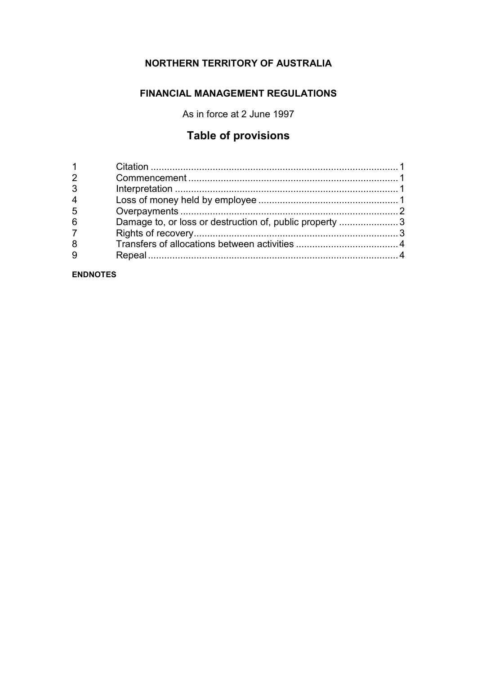# **NORTHERN TERRITORY OF AUSTRALIA**

### **FINANCIAL MANAGEMENT REGULATIONS**

As in force at 2 June 1997

# **Table of provisions**

| $\overline{2}$ |                                                         |  |
|----------------|---------------------------------------------------------|--|
| 3              |                                                         |  |
| $\overline{4}$ |                                                         |  |
| 5              |                                                         |  |
| 6              | Damage to, or loss or destruction of, public property 3 |  |
| $7^{\circ}$    |                                                         |  |
| 8              |                                                         |  |
| 9              |                                                         |  |
|                |                                                         |  |

#### **ENDNOTES**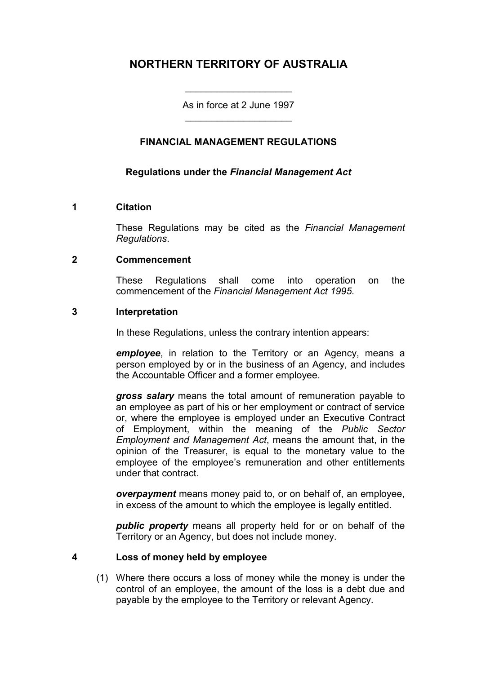## **NORTHERN TERRITORY OF AUSTRALIA**

As in force at 2 June 1997 \_\_\_\_\_\_\_\_\_\_\_\_\_\_\_\_\_\_\_\_

\_\_\_\_\_\_\_\_\_\_\_\_\_\_\_\_\_\_\_\_

#### **FINANCIAL MANAGEMENT REGULATIONS**

#### **Regulations under the** *Financial Management Act*

#### **1 Citation**

These Regulations may be cited as the *Financial Management Regulations*.

#### **2 Commencement**

These Regulations shall come into operation on the commencement of the *Financial Management Act 1995*.

#### **3 Interpretation**

In these Regulations, unless the contrary intention appears:

*employee*, in relation to the Territory or an Agency, means a person employed by or in the business of an Agency, and includes the Accountable Officer and a former employee.

*gross salary* means the total amount of remuneration payable to an employee as part of his or her employment or contract of service or, where the employee is employed under an Executive Contract of Employment, within the meaning of the *Public Sector Employment and Management Act*, means the amount that, in the opinion of the Treasurer, is equal to the monetary value to the employee of the employee's remuneration and other entitlements under that contract.

*overpayment* means money paid to, or on behalf of, an employee, in excess of the amount to which the employee is legally entitled.

*public property* means all property held for or on behalf of the Territory or an Agency, but does not include money.

#### **4 Loss of money held by employee**

(1) Where there occurs a loss of money while the money is under the control of an employee, the amount of the loss is a debt due and payable by the employee to the Territory or relevant Agency.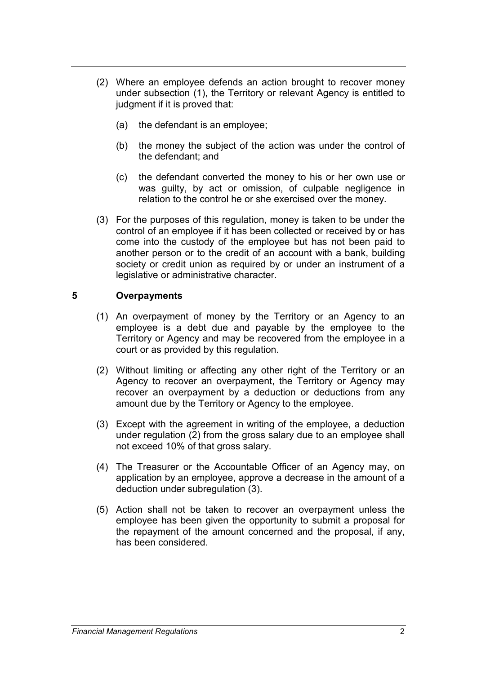- (2) Where an employee defends an action brought to recover money under subsection (1), the Territory or relevant Agency is entitled to judgment if it is proved that:
	- (a) the defendant is an employee;
	- (b) the money the subject of the action was under the control of the defendant; and
	- (c) the defendant converted the money to his or her own use or was guilty, by act or omission, of culpable negligence in relation to the control he or she exercised over the money.
- (3) For the purposes of this regulation, money is taken to be under the control of an employee if it has been collected or received by or has come into the custody of the employee but has not been paid to another person or to the credit of an account with a bank, building society or credit union as required by or under an instrument of a legislative or administrative character.

#### **5 Overpayments**

- (1) An overpayment of money by the Territory or an Agency to an employee is a debt due and payable by the employee to the Territory or Agency and may be recovered from the employee in a court or as provided by this regulation.
- (2) Without limiting or affecting any other right of the Territory or an Agency to recover an overpayment, the Territory or Agency may recover an overpayment by a deduction or deductions from any amount due by the Territory or Agency to the employee.
- (3) Except with the agreement in writing of the employee, a deduction under regulation (2) from the gross salary due to an employee shall not exceed 10% of that gross salary.
- (4) The Treasurer or the Accountable Officer of an Agency may, on application by an employee, approve a decrease in the amount of a deduction under subregulation (3).
- (5) Action shall not be taken to recover an overpayment unless the employee has been given the opportunity to submit a proposal for the repayment of the amount concerned and the proposal, if any, has been considered.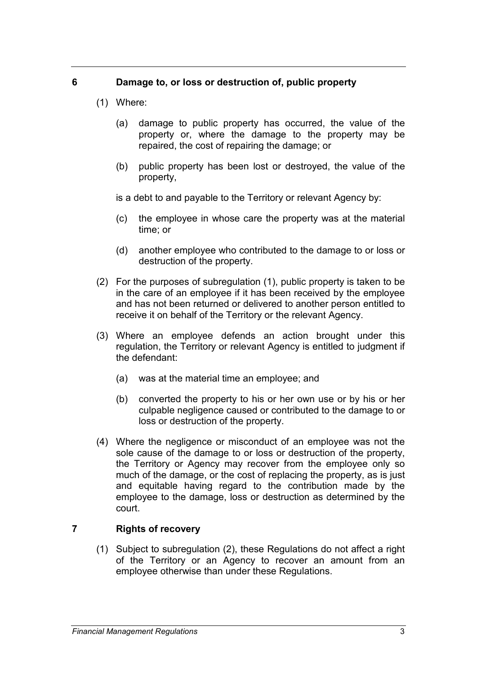#### **6 Damage to, or loss or destruction of, public property**

- (1) Where:
	- (a) damage to public property has occurred, the value of the property or, where the damage to the property may be repaired, the cost of repairing the damage; or
	- (b) public property has been lost or destroyed, the value of the property,

is a debt to and payable to the Territory or relevant Agency by:

- (c) the employee in whose care the property was at the material time; or
- (d) another employee who contributed to the damage to or loss or destruction of the property.
- (2) For the purposes of subregulation (1), public property is taken to be in the care of an employee if it has been received by the employee and has not been returned or delivered to another person entitled to receive it on behalf of the Territory or the relevant Agency.
- (3) Where an employee defends an action brought under this regulation, the Territory or relevant Agency is entitled to judgment if the defendant:
	- (a) was at the material time an employee; and
	- (b) converted the property to his or her own use or by his or her culpable negligence caused or contributed to the damage to or loss or destruction of the property.
- (4) Where the negligence or misconduct of an employee was not the sole cause of the damage to or loss or destruction of the property, the Territory or Agency may recover from the employee only so much of the damage, or the cost of replacing the property, as is just and equitable having regard to the contribution made by the employee to the damage, loss or destruction as determined by the court.

#### **7 Rights of recovery**

(1) Subject to subregulation (2), these Regulations do not affect a right of the Territory or an Agency to recover an amount from an employee otherwise than under these Regulations.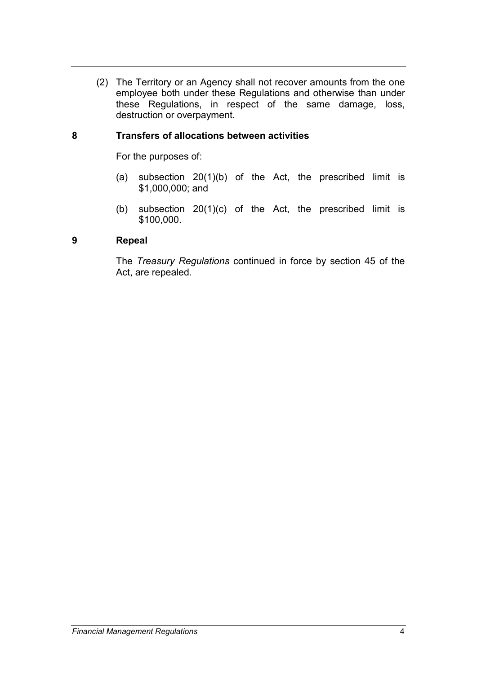(2) The Territory or an Agency shall not recover amounts from the one employee both under these Regulations and otherwise than under these Regulations, in respect of the same damage, loss, destruction or overpayment.

#### **8 Transfers of allocations between activities**

For the purposes of:

- (a) subsection 20(1)(b) of the Act, the prescribed limit is \$1,000,000; and
- (b) subsection 20(1)(c) of the Act, the prescribed limit is \$100,000.

#### **9 Repeal**

The *Treasury Regulations* continued in force by section 45 of the Act, are repealed.